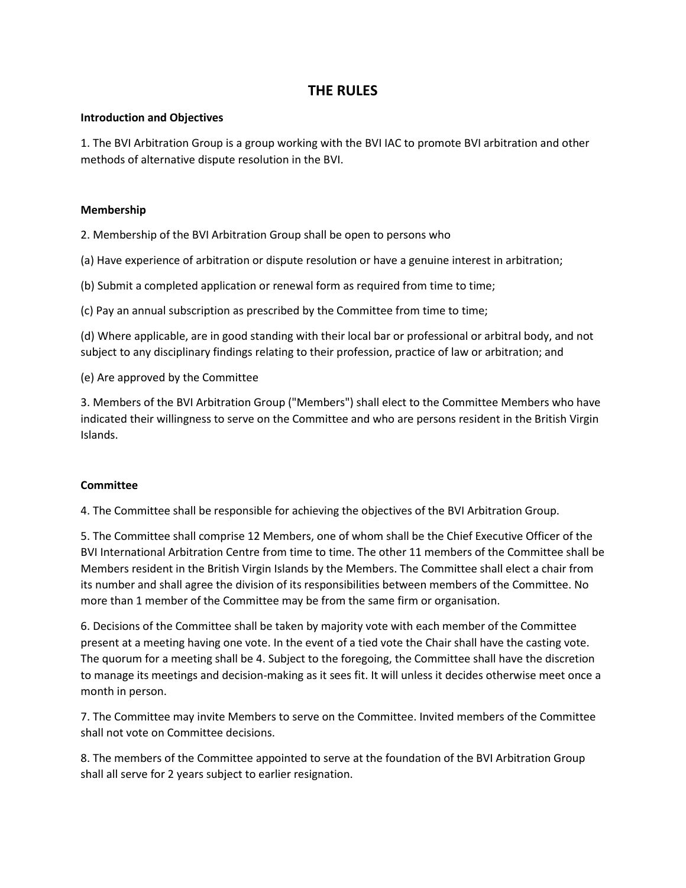# **THE RULES**

#### **Introduction and Objectives**

1. The BVI Arbitration Group is a group working with the BVI IAC to promote BVI arbitration and other methods of alternative dispute resolution in the BVI.

### **Membership**

2. Membership of the BVI Arbitration Group shall be open to persons who

(a) Have experience of arbitration or dispute resolution or have a genuine interest in arbitration;

(b) Submit a completed application or renewal form as required from time to time;

(c) Pay an annual subscription as prescribed by the Committee from time to time;

(d) Where applicable, are in good standing with their local bar or professional or arbitral body, and not subject to any disciplinary findings relating to their profession, practice of law or arbitration; and

(e) Are approved by the Committee

3. Members of the BVI Arbitration Group ("Members") shall elect to the Committee Members who have indicated their willingness to serve on the Committee and who are persons resident in the British Virgin Islands.

#### **Committee**

4. The Committee shall be responsible for achieving the objectives of the BVI Arbitration Group.

5. The Committee shall comprise 12 Members, one of whom shall be the Chief Executive Officer of the BVI International Arbitration Centre from time to time. The other 11 members of the Committee shall be Members resident in the British Virgin Islands by the Members. The Committee shall elect a chair from its number and shall agree the division of its responsibilities between members of the Committee. No more than 1 member of the Committee may be from the same firm or organisation.

6. Decisions of the Committee shall be taken by majority vote with each member of the Committee present at a meeting having one vote. In the event of a tied vote the Chair shall have the casting vote. The quorum for a meeting shall be 4. Subject to the foregoing, the Committee shall have the discretion to manage its meetings and decision-making as it sees fit. It will unless it decides otherwise meet once a month in person.

7. The Committee may invite Members to serve on the Committee. Invited members of the Committee shall not vote on Committee decisions.

8. The members of the Committee appointed to serve at the foundation of the BVI Arbitration Group shall all serve for 2 years subject to earlier resignation.